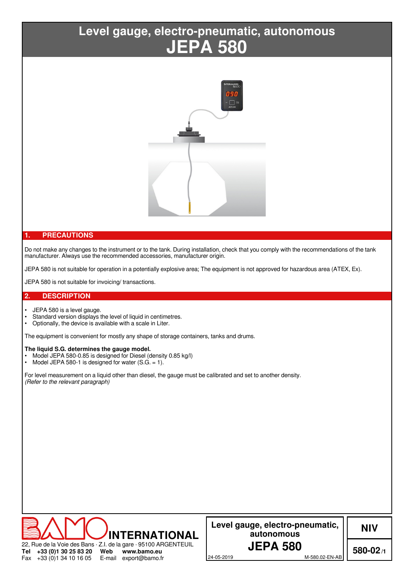# **JEPA 580 Level gauge, electro-pneumatic, autonomous**



# **1. PRECAUTIONS**

Do not make any changes to the instrument or to the tank. During installation, check that you comply with the recommendations of the tank manufacturer. Always use the recommended accessories, manufacturer origin.

JEPA 580 is not suitable for operation in a potentially explosive area; The equipment is not approved for hazardous area (ATEX, Ex).

JEPA 580 is not suitable for invoicing/ transactions.

## **2. DESCRIPTION**

Fax

+33 (0)1 34 10 16 05

- JEPA 580 is a level gauge.
- Standard version displays the level of liquid in centimetres.<br>• Optionally, the device is available with a scale in Liter
- Optionally, the device is available with a scale in Liter.

The equipment is convenient for mostly any shape of storage containers, tanks and drums.

#### **The liquid S.G. determines the gauge model.**

- Model JEPA 580-0.85 is designed for Diesel (density 0.85 kg/l)
- Model JEPA 580-1 is designed for water  $(S.G. = 1)$ .

For level measurement on a liquid other than diesel, the gauge must be calibrated and set to another density. *(Refer to the relevant paragraph)*



E-mail export@bamo.fr

**Level gauge, electro-pneumatic, autonomous**

**NIV**

24-05-2019 M-580.02-EN-AB

**580-02/1**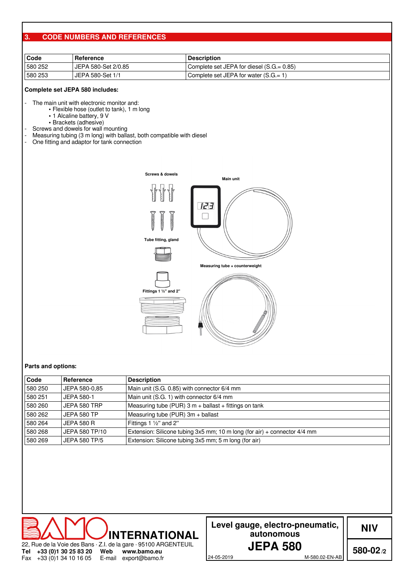# **3. CODE NUMBERS AND REFERENCES**

| Code    | Reference           | <b>Description</b>                          |  |  |  |  |  |
|---------|---------------------|---------------------------------------------|--|--|--|--|--|
| 580 252 | JEPA 580-Set 2/0.85 | Complete set JEPA for diesel $(S.G = 0.85)$ |  |  |  |  |  |
| 580 253 | JEPA 580-Set 1/1    | Gomplete set JEPA for water $(S.G = 1)$     |  |  |  |  |  |

## **Complete set JEPA 580 includes:**

The main unit with electronic monitor and:

- ∙ Flexible hose (outlet to tank), 1 m long
- ∙ 1 Alcaline battery, 9 V
- ∙ Brackets (adhesive)
- Screws and dowels for wall mounting
- Measuring tubing (3 m long) with ballast, both compatible with diesel<br>- One fitting and adaptor for tank connection
- One fitting and adaptor for tank connection





#### **Parts and options:**

| Code    | Reference         | <b>Description</b>                                                            |
|---------|-------------------|-------------------------------------------------------------------------------|
| 580 250 | JEPA 580-0,85     | Main unit (S.G. 0.85) with connector 6/4 mm                                   |
| 580 251 | JEPA 580-1        | Main unit (S.G. 1) with connector 6/4 mm                                      |
| 580 260 | JEPA 580 TRP      | Measuring tube (PUR) $3 m +$ ballast $+$ fittings on tank                     |
| 580 262 | JEPA 580 TP       | Measuring tube (PUR) $3m +$ ballast                                           |
| 580 264 | <b>JEPA 580 R</b> | Fittings 1 $\frac{1}{2}$ " and 2"                                             |
| 580 268 | JEPA 580 TP/10    | Extension: Silicone tubing $3x5$ mm; 10 m long (for air) + connector $4/4$ mm |
| 580 269 | JEPA 580 TP/5     | Extension: Silicone tubing 3x5 mm; 5 m long (for air)                         |



| Level gauge, electro-pneumatic, |
|---------------------------------|
| autonomous                      |
| <b>JEPA 580</b>                 |

**NIV**

24-05-2019 M-580.02-EN-AB

**580-02/2**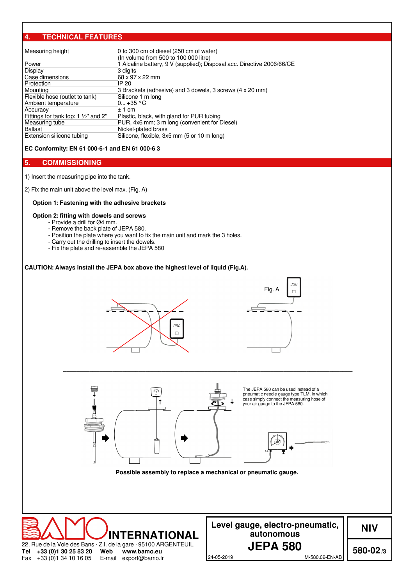# **4. TECHNICAL FEATURES**

| Measuring height                               | 0 to 300 cm of diesel (250 cm of water)<br>(In volume from 500 to 100 000 litre) |
|------------------------------------------------|----------------------------------------------------------------------------------|
| Power                                          | 1 Alcaline battery, 9 V (supplied); Disposal acc. Directive 2006/66/CE           |
| Display                                        | 3 digits                                                                         |
| Case dimensions                                | 68 x 97 x 22 mm                                                                  |
| Protection                                     | IP 20                                                                            |
| Mounting                                       | 3 Brackets (adhesive) and 3 dowels, 3 screws (4 x 20 mm)                         |
| Flexible hose (outlet to tank)                 | Silicone 1 m long                                                                |
| Ambient temperature                            | $0 + 35 °C$                                                                      |
| Accuracy                                       | $±1$ cm                                                                          |
| Fittings for tank top: $1\frac{1}{2}$ " and 2" | Plastic, black, with gland for PUR tubing                                        |
| Measuring tube                                 | PUR, 4x6 mm; 3 m long (convenient for Diesel)                                    |
| <b>Ballast</b>                                 | Nickel-plated brass                                                              |
| Extension silicone tubing                      | Silicone, flexible, 3x5 mm (5 or 10 m long)                                      |

**EC Conformity: EN 61 000-6-1 and EN 61 000-6 3**

# **5. COMMISSIONING**

1) Insert the measuring pipe into the tank.

2) Fix the main unit above the level max. (Fig. A)

## **Option 1: Fastening with the adhesive brackets**

#### **Option 2: fitting with dowels and screws**

- Provide a drill for Ø4 mm.
- Remove the back plate of JEPA 580.
- Position the plate where you want to fix the main unit and mark the 3 holes.
- Carry out the drilling to insert the dowels.
- Fix the plate and re-assemble the JEPA 580

#### **CAUTION: Always install the JEPA box above the highest level of liquid (Fig.A).**